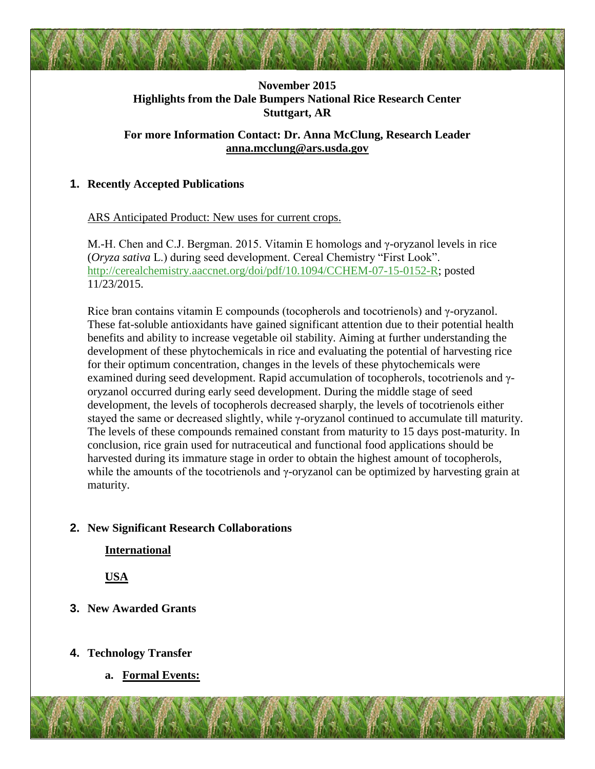

## **November 2015 Highlights from the Dale Bumpers National Rice Research Center Stuttgart, AR**

## **For more Information Contact: Dr. Anna McClung, Research Leader [anna.mcclung@ars.usda.gov](mailto:anna.mcclung@ars.usda.gov)**

# **1. Recently Accepted Publications**

### ARS Anticipated Product: New uses for current crops.

M.-H. Chen and C.J. Bergman. 2015. Vitamin E homologs and γ-oryzanol levels in rice (*Oryza sativa* L.) during seed development. Cereal Chemistry "First Look". [http://cerealchemistry.aaccnet.org/doi/pdf/10.1094/CCHEM-07-15-0152-R;](http://cerealchemistry.aaccnet.org/doi/pdf/10.1094/CCHEM-07-15-0152-R) posted 11/23/2015.

Rice bran contains vitamin E compounds (tocopherols and tocotrienols) and γ-oryzanol. These fat-soluble antioxidants have gained significant attention due to their potential health benefits and ability to increase vegetable oil stability. Aiming at further understanding the development of these phytochemicals in rice and evaluating the potential of harvesting rice for their optimum concentration, changes in the levels of these phytochemicals were examined during seed development. Rapid accumulation of tocopherols, tocotrienols and γoryzanol occurred during early seed development. During the middle stage of seed development, the levels of tocopherols decreased sharply, the levels of tocotrienols either stayed the same or decreased slightly, while γ-oryzanol continued to accumulate till maturity. The levels of these compounds remained constant from maturity to 15 days post-maturity. In conclusion, rice grain used for nutraceutical and functional food applications should be harvested during its immature stage in order to obtain the highest amount of tocopherols, while the amounts of the tocotrienols and  $\gamma$ -oryzanol can be optimized by harvesting grain at maturity.

## **2. New Significant Research Collaborations**

**International**

**USA**

# **3. New Awarded Grants**

# **4. Technology Transfer**

**a. Formal Events:**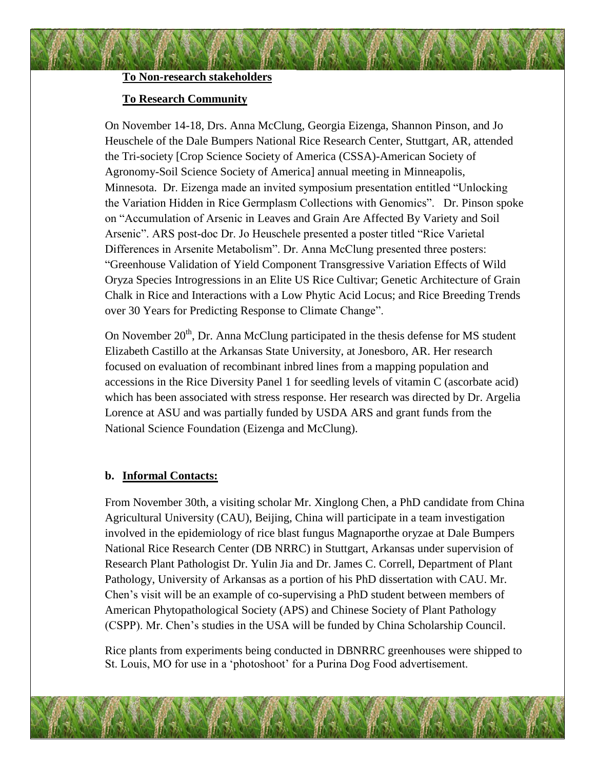## **To Non-research stakeholders**

#### **To Research Community**

On November 14-18, Drs. Anna McClung, Georgia Eizenga, Shannon Pinson, and Jo Heuschele of the Dale Bumpers National Rice Research Center, Stuttgart, AR, attended the Tri-society [Crop Science Society of America (CSSA)-American Society of Agronomy-Soil Science Society of America] annual meeting in Minneapolis, Minnesota. Dr. Eizenga made an invited symposium presentation entitled "Unlocking the Variation Hidden in Rice Germplasm Collections with Genomics". Dr. Pinson spoke on "Accumulation of Arsenic in Leaves and Grain Are Affected By Variety and Soil Arsenic". ARS post-doc Dr. Jo Heuschele presented a poster titled "Rice Varietal Differences in Arsenite Metabolism". Dr. Anna McClung presented three posters: "Greenhouse Validation of Yield Component Transgressive Variation Effects of Wild Oryza Species Introgressions in an Elite US Rice Cultivar; Genetic Architecture of Grain Chalk in Rice and Interactions with a Low Phytic Acid Locus; and Rice Breeding Trends over 30 Years for Predicting Response to Climate Change".

On November  $20<sup>th</sup>$ , Dr. Anna McClung participated in the thesis defense for MS student Elizabeth Castillo at the Arkansas State University, at Jonesboro, AR. Her research focused on evaluation of recombinant inbred lines from a mapping population and accessions in the Rice Diversity Panel 1 for seedling levels of vitamin C (ascorbate acid) which has been associated with stress response. Her research was directed by Dr. Argelia Lorence at ASU and was partially funded by USDA ARS and grant funds from the National Science Foundation (Eizenga and McClung).

#### **b. Informal Contacts:**

From November 30th, a visiting scholar Mr. Xinglong Chen, a PhD candidate from China Agricultural University (CAU), Beijing, China will participate in a team investigation involved in the epidemiology of rice blast fungus Magnaporthe oryzae at Dale Bumpers National Rice Research Center (DB NRRC) in Stuttgart, Arkansas under supervision of Research Plant Pathologist Dr. Yulin Jia and Dr. James C. Correll, Department of Plant Pathology, University of Arkansas as a portion of his PhD dissertation with CAU. Mr. Chen's visit will be an example of co-supervising a PhD student between members of American Phytopathological Society (APS) and Chinese Society of Plant Pathology (CSPP). Mr. Chen's studies in the USA will be funded by China Scholarship Council.

Rice plants from experiments being conducted in DBNRRC greenhouses were shipped to St. Louis, MO for use in a 'photoshoot' for a Purina Dog Food advertisement.